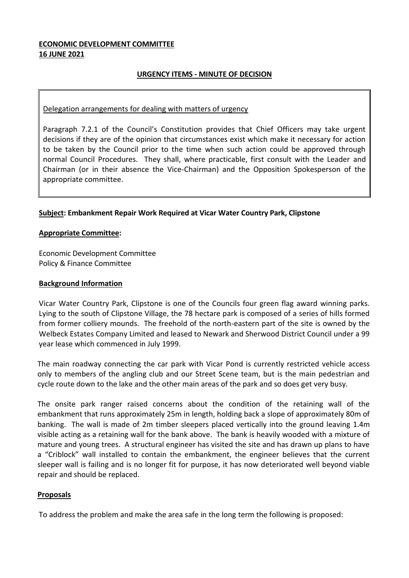## **ECONOMIC DEVELOPMENT COMMITTEE 16 JUNE 2021**

## **URGENCY ITEMS - MINUTE OF DECISION**

### Delegation arrangements for dealing with matters of urgency

Paragraph 7.2.1 of the Council's Constitution provides that Chief Officers may take urgent decisions if they are of the opinion that circumstances exist which make it necessary for action to be taken by the Council prior to the time when such action could be approved through normal Council Procedures. They shall, where practicable, first consult with the Leader and Chairman (or in their absence the Vice-Chairman) and the Opposition Spokesperson of the appropriate committee.

## **Subject: Embankment Repair Work Required at Vicar Water Country Park, Clipstone**

#### **Appropriate Committee:**

Economic Development Committee Policy & Finance Committee

#### **Background Information**

Vicar Water Country Park, Clipstone is one of the Councils four green flag award winning parks. Lying to the south of Clipstone Village, the 78 hectare park is composed of a series of hills formed from former colliery mounds. The freehold of the north-eastern part of the site is owned by the Welbeck Estates Company Limited and leased to Newark and Sherwood District Council under a 99 year lease which commenced in July 1999.

The main roadway connecting the car park with Vicar Pond is currently restricted vehicle access only to members of the angling club and our Street Scene team, but is the main pedestrian and cycle route down to the lake and the other main areas of the park and so does get very busy.

The onsite park ranger raised concerns about the condition of the retaining wall of the embankment that runs approximately 25m in length, holding back a slope of approximately 80m of banking. The wall is made of 2m timber sleepers placed vertically into the ground leaving 1.4m visible acting as a retaining wall for the bank above. The bank is heavily wooded with a mixture of mature and young trees. A structural engineer has visited the site and has drawn up plans to have a "Criblock" wall installed to contain the embankment, the engineer believes that the current sleeper wall is failing and is no longer fit for purpose, it has now deteriorated well beyond viable repair and should be replaced.

#### **Proposals**

To address the problem and make the area safe in the long term the following is proposed: